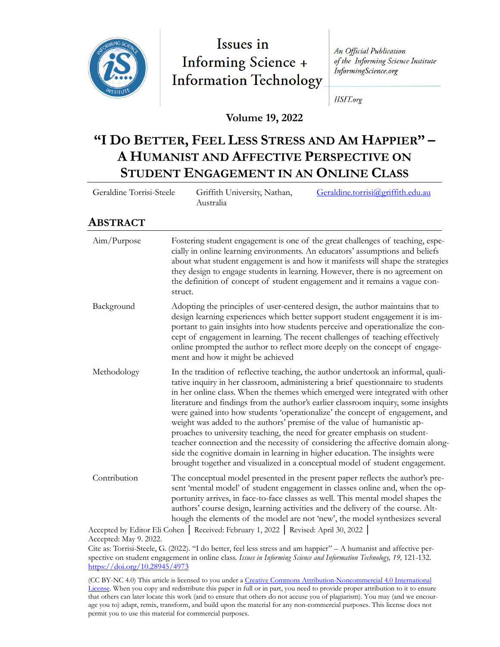

# Issues in **Informing Science + Information Technology**

An Official Publication of the Informing Science Institute InformingScience.org

**IISIT.org** 

**Volume 19, 2022**

# **"I DO BETTER, FEEL LESS STRESS AND AM HAPPIER" – A HUMANIST AND AFFECTIVE PERSPECTIVE ON STUDENT ENGAGEMENT IN AN ONLINE CLASS**

| Geraldine Torrisi-Steele     | Griffith University, Nathan,<br>Australia | Geraldine.torrisi@griffith.edu.au |
|------------------------------|-------------------------------------------|-----------------------------------|
| $\lambda$ DOTEN $\lambda$ OT |                                           |                                   |

#### **ABSTRACT**

| Aim/Purpose  | Fostering student engagement is one of the great challenges of teaching, espe-<br>cially in online learning environments. An educators' assumptions and beliefs<br>about what student engagement is and how it manifests will shape the strategies<br>they design to engage students in learning. However, there is no agreement on<br>the definition of concept of student engagement and it remains a vague con-<br>struct.                                                                                                                                                                                                                                                                                                                                                                                                             |
|--------------|-------------------------------------------------------------------------------------------------------------------------------------------------------------------------------------------------------------------------------------------------------------------------------------------------------------------------------------------------------------------------------------------------------------------------------------------------------------------------------------------------------------------------------------------------------------------------------------------------------------------------------------------------------------------------------------------------------------------------------------------------------------------------------------------------------------------------------------------|
| Background   | Adopting the principles of user-centered design, the author maintains that to<br>design learning experiences which better support student engagement it is im-<br>portant to gain insights into how students perceive and operationalize the con-<br>cept of engagement in learning. The recent challenges of teaching effectively<br>online prompted the author to reflect more deeply on the concept of engage-<br>ment and how it might be achieved                                                                                                                                                                                                                                                                                                                                                                                    |
| Methodology  | In the tradition of reflective teaching, the author undertook an informal, quali-<br>tative inquiry in her classroom, administering a brief questionnaire to students<br>in her online class. When the themes which emerged were integrated with other<br>literature and findings from the author's earlier classroom inquiry, some insights<br>were gained into how students 'operationalize' the concept of engagement, and<br>weight was added to the authors' premise of the value of humanistic ap-<br>proaches to university teaching, the need for greater emphasis on student-<br>teacher connection and the necessity of considering the affective domain along-<br>side the cognitive domain in learning in higher education. The insights were<br>brought together and visualized in a conceptual model of student engagement. |
| Contribution | The conceptual model presented in the present paper reflects the author's pre-<br>sent 'mental model' of student engagement in classes online and, when the op-<br>portunity arrives, in face-to-face classes as well. This mental model shapes the<br>authors' course design, learning activities and the delivery of the course. Alt-<br>hough the elements of the model are not 'new', the model synthesizes several                                                                                                                                                                                                                                                                                                                                                                                                                   |
|              | Accepted by Editor Eli Cohen   Received: February 1, 2022   Revised: April 30, 2022                                                                                                                                                                                                                                                                                                                                                                                                                                                                                                                                                                                                                                                                                                                                                       |

Accepted: May 9. 2022.

Cite as: Torrisi-Steele, G. (2022). "I do better, feel less stress and am happier" – A humanist and affective perspective on student engagement in online class. *Issues in Informing Science and Information Technology, 19,* 121-132. <https://doi.org/10.28945/4973>

(CC BY-NC 4.0) This article is licensed to you under a [Creative Commons Attribution](https://creativecommons.org/licenses/by-nc/4.0/)-Noncommercial 4.0 International [License](https://creativecommons.org/licenses/by-nc/4.0/). When you copy and redistribute this paper in full or in part, you need to provide proper attribution to it to ensure that others can later locate this work (and to ensure that others do not accuse you of plagiarism). You may (and we encourage you to) adapt, remix, transform, and build upon the material for any non-commercial purposes. This license does not permit you to use this material for commercial purposes.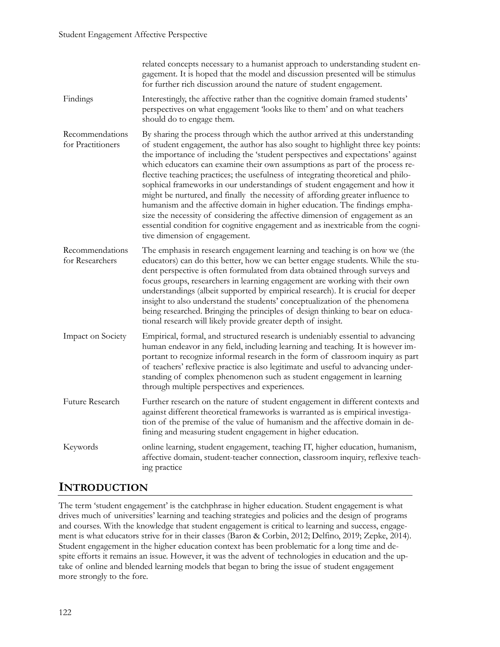#### Student Engagement Affective Perspective

|                                      | related concepts necessary to a humanist approach to understanding student en-<br>gagement. It is hoped that the model and discussion presented will be stimulus<br>for further rich discussion around the nature of student engagement.                                                                                                                                                                                                                                                                                                                                                                                                                                                                                                                                                                                                                                      |
|--------------------------------------|-------------------------------------------------------------------------------------------------------------------------------------------------------------------------------------------------------------------------------------------------------------------------------------------------------------------------------------------------------------------------------------------------------------------------------------------------------------------------------------------------------------------------------------------------------------------------------------------------------------------------------------------------------------------------------------------------------------------------------------------------------------------------------------------------------------------------------------------------------------------------------|
| Findings                             | Interestingly, the affective rather than the cognitive domain framed students'<br>perspectives on what engagement 'looks like to them' and on what teachers<br>should do to engage them.                                                                                                                                                                                                                                                                                                                                                                                                                                                                                                                                                                                                                                                                                      |
| Recommendations<br>for Practitioners | By sharing the process through which the author arrived at this understanding<br>of student engagement, the author has also sought to highlight three key points:<br>the importance of including the 'student perspectives and expectations' against<br>which educators can examine their own assumptions as part of the process re-<br>flective teaching practices; the usefulness of integrating theoretical and philo-<br>sophical frameworks in our understandings of student engagement and how it<br>might be nurtured, and finally the necessity of affording greater influence to<br>humanism and the affective domain in higher education. The findings empha-<br>size the necessity of considering the affective dimension of engagement as an<br>essential condition for cognitive engagement and as inextricable from the cogni-<br>tive dimension of engagement. |
| Recommendations<br>for Researchers   | The emphasis in research engagement learning and teaching is on how we (the<br>educators) can do this better, how we can better engage students. While the stu-<br>dent perspective is often formulated from data obtained through surveys and<br>focus groups, researchers in learning engagement are working with their own<br>understandings (albeit supported by empirical research). It is crucial for deeper<br>insight to also understand the students' conceptualization of the phenomena<br>being researched. Bringing the principles of design thinking to bear on educa-<br>tional research will likely provide greater depth of insight.                                                                                                                                                                                                                          |
| Impact on Society                    | Empirical, formal, and structured research is undeniably essential to advancing<br>human endeavor in any field, including learning and teaching. It is however im-<br>portant to recognize informal research in the form of classroom inquiry as part<br>of teachers' reflexive practice is also legitimate and useful to advancing under-<br>standing of complex phenomenon such as student engagement in learning<br>through multiple perspectives and experiences.                                                                                                                                                                                                                                                                                                                                                                                                         |
| Future Research                      | Further research on the nature of student engagement in different contexts and<br>against different theoretical frameworks is warranted as is empirical investiga-<br>tion of the premise of the value of humanism and the affective domain in de-<br>fining and measuring student engagement in higher education.                                                                                                                                                                                                                                                                                                                                                                                                                                                                                                                                                            |
| Keywords                             | online learning, student engagement, teaching IT, higher education, humanism,<br>affective domain, student-teacher connection, classroom inquiry, reflexive teach-<br>ing practice                                                                                                                                                                                                                                                                                                                                                                                                                                                                                                                                                                                                                                                                                            |

#### **INTRODUCTION**

The term 'student engagement' is the catchphrase in higher education. Student engagement is what drives much of universities' learning and teaching strategies and policies and the design of programs and courses. With the knowledge that student engagement is critical to learning and success, engagement is what educators strive for in their classes (Baron & Corbin, 2012; Delfino, 2019; Zepke, 2014). Student engagement in the higher education context has been problematic for a long time and despite efforts it remains an issue. However, it was the advent of technologies in education and the uptake of online and blended learning models that began to bring the issue of student engagement more strongly to the fore.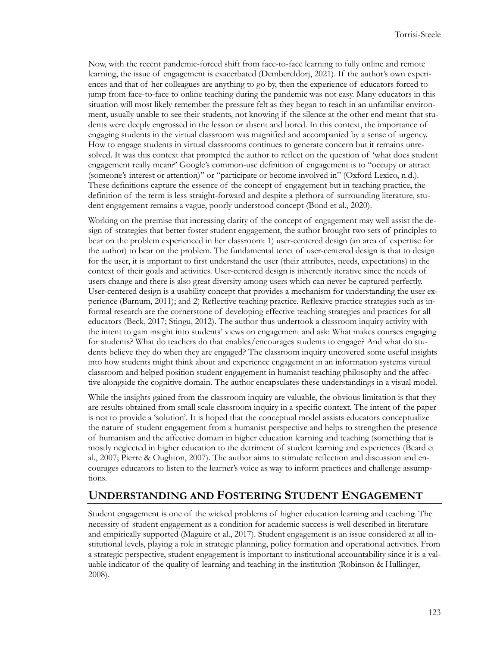Now, with the recent pandemic-forced shift from face-to-face learning to fully online and remote learning, the issue of engagement is exacerbated (Dembereldorj, 2021). If the author's own experiences and that of her colleagues are anything to go by, then the experience of educators forced to jump from face-to-face to online teaching during the pandemic was not easy. Many educators in this situation will most likely remember the pressure felt as they began to teach in an unfamiliar environment, usually unable to see their students, not knowing if the silence at the other end meant that students were deeply engrossed in the lesson or absent and bored. In this context, the importance of engaging students in the virtual classroom was magnified and accompanied by a sense of urgency. How to engage students in virtual classrooms continues to generate concern but it remains unresolved. It was this context that prompted the author to reflect on the question of 'what does student engagement really mean?' Google's common-use definition of engagement is to "occupy or attract (someone's interest or attention)" or "participate or become involved in" (Oxford Lexico, n.d.). These definitions capture the essence of the concept of engagement but in teaching practice, the definition of the term is less straight-forward and despite a plethora of surrounding literature, student engagement remains a vague, poorly understood concept (Bond et al., 2020).

Working on the premise that increasing clarity of the concept of engagement may well assist the design of strategies that better foster student engagement, the author brought two sets of principles to bear on the problem experienced in her classroom: 1) user-centered design (an area of expertise for the author) to bear on the problem. The fundamental tenet of user-centered design is that to design for the user, it is important to first understand the user (their attributes, needs, expectations) in the context of their goals and activities. User-centered design is inherently iterative since the needs of users change and there is also great diversity among users which can never be captured perfectly. User-centered design is a usability concept that provides a mechanism for understanding the user experience (Barnum, 2011); and 2) Reflective teaching practice. Reflexive practice strategies such as informal research are the cornerstone of developing effective teaching strategies and practices for all educators (Beck, 2017; Stingu, 2012). The author thus undertook a classroom inquiry activity with the intent to gain insight into students' views on engagement and ask: What makes courses engaging for students? What do teachers do that enables/encourages students to engage? And what do students believe they do when they are engaged? The classroom inquiry uncovered some useful insights into how students might think about and experience engagement in an information systems virtual classroom and helped position student engagement in humanist teaching philosophy and the affective alongside the cognitive domain. The author encapsulates these understandings in a visual model.

While the insights gained from the classroom inquiry are valuable, the obvious limitation is that they are results obtained from small scale classroom inquiry in a specific context. The intent of the paper is not to provide a 'solution'. It is hoped that the conceptual model assists educators conceptualize the nature of student engagement from a humanist perspective and helps to strengthen the presence of humanism and the affective domain in higher education learning and teaching (something that is mostly neglected in higher education to the detriment of student learning and experiences (Beard et al., 2007; Pierre & Oughton, 2007). The author aims to stimulate reflection and discussion and encourages educators to listen to the learner's voice as way to inform practices and challenge assumptions.

#### **UNDERSTANDING AND FOSTERING STUDENT ENGAGEMENT**

Student engagement is one of the wicked problems of higher education learning and teaching. The necessity of student engagement as a condition for academic success is well described in literature and empirically supported (Maguire et al., 2017). Student engagement is an issue considered at all institutional levels, playing a role in strategic planning, policy formation and operational activities. From a strategic perspective, student engagement is important to institutional accountability since it is a valuable indicator of the quality of learning and teaching in the institution (Robinson & Hullinger, 2008).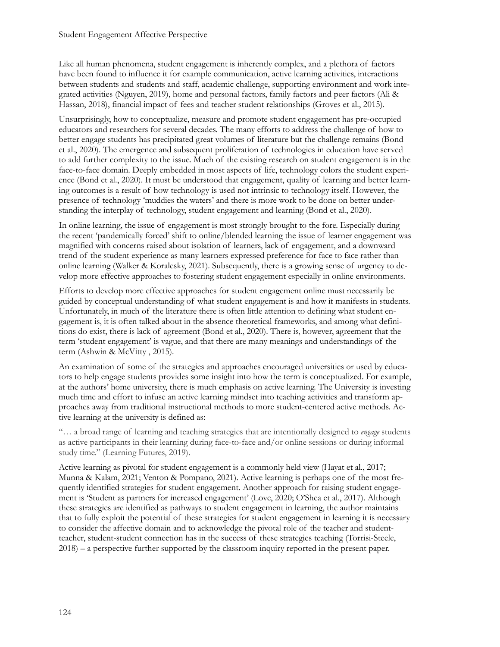Like all human phenomena, student engagement is inherently complex, and a plethora of factors have been found to influence it for example communication, active learning activities, interactions between students and students and staff, academic challenge, supporting environment and work integrated activities (Nguyen, 2019), home and personal factors, family factors and peer factors (Ali & Hassan, 2018), financial impact of fees and teacher student relationships (Groves et al., 2015).

Unsurprisingly, how to conceptualize, measure and promote student engagement has pre-occupied educators and researchers for several decades. The many efforts to address the challenge of how to better engage students has precipitated great volumes of literature but the challenge remains (Bond et al., 2020). The emergence and subsequent proliferation of technologies in education have served to add further complexity to the issue. Much of the existing research on student engagement is in the face-to-face domain. Deeply embedded in most aspects of life, technology colors the student experience (Bond et al., 2020). It must be understood that engagement, quality of learning and better learning outcomes is a result of how technology is used not intrinsic to technology itself. However, the presence of technology 'muddies the waters' and there is more work to be done on better understanding the interplay of technology, student engagement and learning (Bond et al., 2020).

In online learning, the issue of engagement is most strongly brought to the fore. Especially during the recent 'pandemically forced' shift to online/blended learning the issue of learner engagement was magnified with concerns raised about isolation of learners, lack of engagement, and a downward trend of the student experience as many learners expressed preference for face to face rather than online learning (Walker & Koralesky, 2021). Subsequently, there is a growing sense of urgency to develop more effective approaches to fostering student engagement especially in online environments.

Efforts to develop more effective approaches for student engagement online must necessarily be guided by conceptual understanding of what student engagement is and how it manifests in students. Unfortunately, in much of the literature there is often little attention to defining what student engagement is, it is often talked about in the absence theoretical frameworks, and among what definitions do exist, there is lack of agreement (Bond et al., 2020). There is, however, agreement that the term 'student engagement' is vague, and that there are many meanings and understandings of the term (Ashwin & McVitty , 2015).

An examination of some of the strategies and approaches encouraged universities or used by educators to help engage students provides some insight into how the term is conceptualized. For example, at the authors' home university, there is much emphasis on active learning. The University is investing much time and effort to infuse an active learning mindset into teaching activities and transform approaches away from traditional instructional methods to more student-centered active methods. Active learning at the university is defined as:

"… a broad range of learning and teaching strategies that are intentionally designed to *engage* students as active participants in their learning during face-to-face and/or online sessions or during informal study time." (Learning Futures, 2019).

Active learning as pivotal for student engagement is a commonly held view (Hayat et al., 2017; Munna & Kalam, 2021; Venton & Pompano, 2021). Active learning is perhaps one of the most frequently identified strategies for student engagement. Another approach for raising student engagement is 'Student as partners for increased engagement' (Love, 2020; O'Shea et al., 2017). Although these strategies are identified as pathways to student engagement in learning, the author maintains that to fully exploit the potential of these strategies for student engagement in learning it is necessary to consider the affective domain and to acknowledge the pivotal role of the teacher and studentteacher, student-student connection has in the success of these strategies teaching (Torrisi-Steele, 2018) – a perspective further supported by the classroom inquiry reported in the present paper.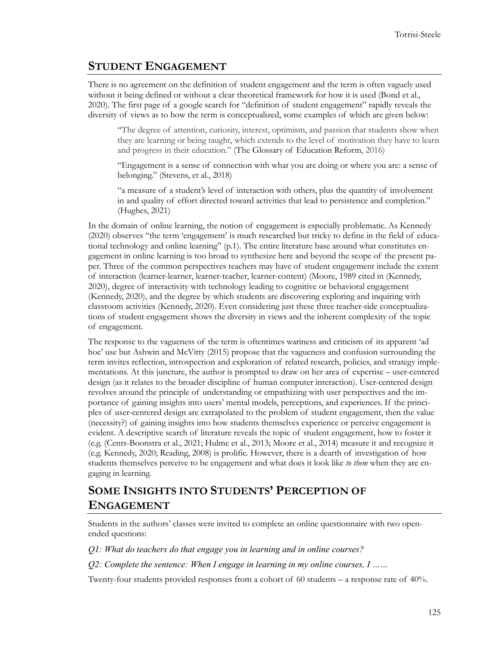#### **STUDENT ENGAGEMENT**

There is no agreement on the definition of student engagement and the term is often vaguely used without it being defined or without a clear theoretical framework for how it is used (Bond et al., 2020). The first page of a google search for "definition of student engagement" rapidly reveals the diversity of views as to how the term is conceptualized, some examples of which are given below:

"The degree of attention, curiosity, interest, optimism, and passion that students show when they are learning or being taught, which extends to the level of motivation they have to learn and progress in their education." (The Glossary of Education Reform, 2016)

"Engagement is a sense of connection with what you are doing or where you are: a sense of belonging." (Stevens, et al., 2018)

"a measure of a student's level of interaction with others, plus the quantity of involvement in and quality of effort directed toward activities that lead to persistence and completion." (Hughes, 2021)

In the domain of online learning, the notion of engagement is especially problematic. As Kennedy (2020) observes "the term 'engagement' is much researched but tricky to define in the field of educational technology and online learning" (p.1). The entire literature base around what constitutes engagement in online learning is too broad to synthesize here and beyond the scope of the present paper. Three of the common perspectives teachers may have of student engagement include the extent of interaction (learner-learner, learner-teacher, learner-content) (Moore, 1989 cited in (Kennedy, 2020), degree of interactivity with technology leading to cognitive or behavioral engagement (Kennedy, 2020), and the degree by which students are discovering exploring and inquiring with classroom activities (Kennedy, 2020). Even considering just these three teacher-side conceptualizations of student engagement shows the diversity in views and the inherent complexity of the topic of engagement.

The response to the vagueness of the term is oftentimes wariness and criticism of its apparent 'ad hoc' use but Ashwin and McVitty (2015) propose that the vagueness and confusion surrounding the term invites reflection, introspection and exploration of related research, policies, and strategy implementations. At this juncture, the author is prompted to draw on her area of expertise – user-centered design (as it relates to the broader discipline of human computer interaction). User-centered design revolves around the principle of understanding or empathizing with user perspectives and the importance of gaining insights into users' mental models, perceptions, and experiences. If the principles of user-centered design are extrapolated to the problem of student engagement, then the value (necessity?) of gaining insights into how students themselves experience or perceive engagement is evident. A descriptive search of literature reveals the topic of student engagement, how to foster it (e.g. (Cents-Boonstra et al., 2021; Hulme et al., 2013; Moore et al., 2014) measure it and recognize it (e.g. Kennedy, 2020; Reading, 2008) is prolific. However, there is a dearth of investigation of how students themselves perceive to be engagement and what does it look like *to them* when they are engaging in learning.

### **SOME INSIGHTS INTO STUDENTS' PERCEPTION OF ENGAGEMENT**

Students in the authors' classes were invited to complete an online questionnaire with two openended questions:

*Q1: What do teachers do that engage you in learning and in online courses?* 

*Q2: Complete the sentence: When I engage in learning in my online courses, I ……*

Twenty-four students provided responses from a cohort of 60 students – a response rate of 40%.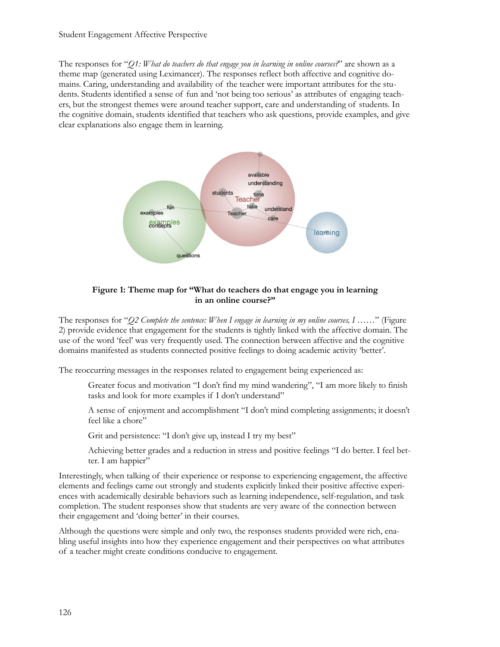The responses for "*Q1: What do teachers do that engage you in learning in online courses?*" are shown as a theme map (generated using Leximancer). The responses reflect both affective and cognitive domains. Caring, understanding and availability of the teacher were important attributes for the students. Students identified a sense of fun and 'not being too serious' as attributes of engaging teachers, but the strongest themes were around teacher support, care and understanding of students. In the cognitive domain, students identified that teachers who ask questions, provide examples, and give clear explanations also engage them in learning.



#### **Figure 1: Theme map for "What do teachers do that engage you in learning in an online course?"**

The responses for "*Q2 Complete the sentence: When I engage in learning in my online courses, I ……*" (Figure 2) provide evidence that engagement for the students is tightly linked with the affective domain. The use of the word 'feel' was very frequently used. The connection between affective and the cognitive domains manifested as students connected positive feelings to doing academic activity 'better'.

The reoccurring messages in the responses related to engagement being experienced as:

Greater focus and motivation "I don't find my mind wandering", "I am more likely to finish tasks and look for more examples if I don't understand"

A sense of enjoyment and accomplishment "I don't mind completing assignments; it doesn't feel like a chore"

Grit and persistence: "I don't give up, instead I try my best"

Achieving better grades and a reduction in stress and positive feelings "I do better. I feel better. I am happier"

Interestingly, when talking of their experience or response to experiencing engagement, the affective elements and feelings came out strongly and students explicitly linked their positive affective experiences with academically desirable behaviors such as learning independence, self-regulation, and task completion. The student responses show that students are very aware of the connection between their engagement and 'doing better' in their courses.

Although the questions were simple and only two, the responses students provided were rich, enabling useful insights into how they experience engagement and their perspectives on what attributes of a teacher might create conditions conducive to engagement.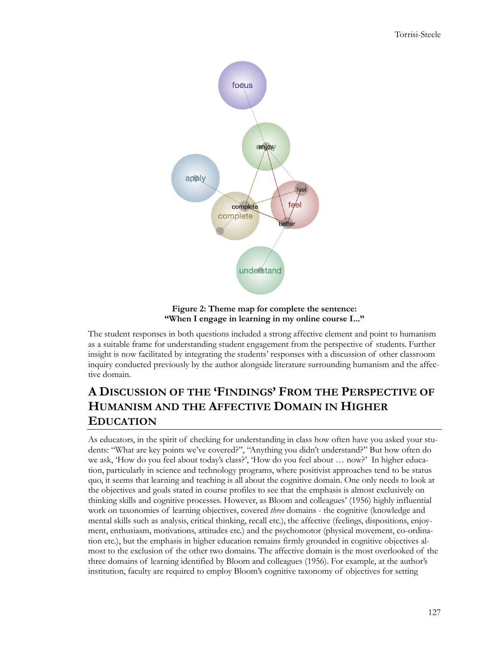

**Figure 2: Theme map for complete the sentence: "When I engage in learning in my online course I..."**

The student responses in both questions included a strong affective element and point to humanism as a suitable frame for understanding student engagement from the perspective of students. Further insight is now facilitated by integrating the students' responses with a discussion of other classroom inquiry conducted previously by the author alongside literature surrounding humanism and the affective domain.

## **A DISCUSSION OF THE 'FINDINGS' FROM THE PERSPECTIVE OF HUMANISM AND THE AFFECTIVE DOMAIN IN HIGHER EDUCATION**

As educators, in the spirit of checking for understanding in class how often have you asked your students: "What are key points we've covered?", "Anything you didn't understand?" But how often do we ask, 'How do you feel about today's class?', 'How do you feel about … now?' In higher education, particularly in science and technology programs, where positivist approaches tend to be status quo, it seems that learning and teaching is all about the cognitive domain. One only needs to look at the objectives and goals stated in course profiles to see that the emphasis is almost exclusively on thinking skills and cognitive processes. However, as Bloom and colleagues' (1956) highly influential work on taxonomies of learning objectives, covered *three* domains - the cognitive (knowledge and mental skills such as analysis, critical thinking, recall etc.), the affective (feelings, dispositions, enjoyment, enthusiasm, motivations, attitudes etc.) and the psychomotor (physical movement, co-ordination etc.), but the emphasis in higher education remains firmly grounded in cognitive objectives almost to the exclusion of the other two domains. The affective domain is the most overlooked of the three domains of learning identified by Bloom and colleagues (1956). For example, at the author's institution, faculty are required to employ Bloom's cognitive taxonomy of objectives for setting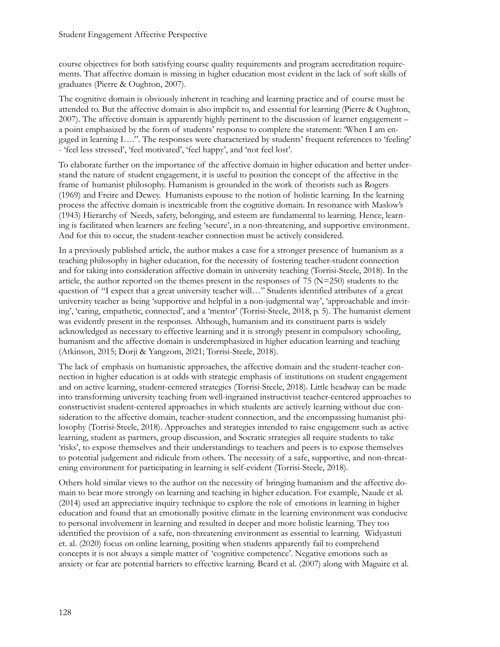course objectives for both satisfying course quality requirements and program accreditation requirements. That affective domain is missing in higher education most evident in the lack of soft skills of graduates (Pierre & Oughton, 2007).

The cognitive domain is obviously inherent in teaching and learning practice and of course must be attended to. But the affective domain is also implicit to, and essential for learning (Pierre & Oughton, 2007). The affective domain is apparently highly pertinent to the discussion of learner engagement – a point emphasized by the form of students' response to complete the statement: 'When I am engaged in learning I….". The responses were characterized by students' frequent references to 'feeling' - 'feel less stressed', 'feel motivated', 'feel happy', and 'not feel lost'.

To elaborate further on the importance of the affective domain in higher education and better understand the nature of student engagement, it is useful to position the concept of the affective in the frame of humanist philosophy. Humanism is grounded in the work of theorists such as Rogers (1969) and Freire and Dewey. Humanists espouse to the notion of holistic learning. In the learning process the affective domain is inextricable from the cognitive domain. In resonance with Maslow's (1943) Hierarchy of Needs, safety, belonging, and esteem are fundamental to learning. Hence, learning is facilitated when learners are feeling 'secure', in a non-threatening, and supportive environment. And for this to occur, the student-teacher connection must be actively considered.

In a previously published article, the author makes a case for a stronger presence of humanism as a teaching philosophy in higher education, for the necessity of fostering teacher-student connection and for taking into consideration affective domain in university teaching (Torrisi-Steele, 2018). In the article, the author reported on the themes present in the responses of  $75$  (N=250) students to the question of "I expect that a great university teacher will…" Students identified attributes of a great university teacher as being 'supportive and helpful in a non-judgmental way', 'approachable and inviting', 'caring, empathetic, connected', and a 'mentor' (Torrisi-Steele, 2018, p. 5). The humanist element was evidently present in the responses. Although, humanism and its constituent parts is widely acknowledged as necessary to effective learning and it is strongly present in compulsory schooling, humanism and the affective domain is underemphasized in higher education learning and teaching (Atkinson, 2015; Dorji & Yangzom, 2021; Torrisi-Steele, 2018).

The lack of emphasis on humanistic approaches, the affective domain and the student-teacher connection in higher education is at odds with strategic emphasis of institutions on student engagement and on active learning, student-centered strategies (Torrisi-Steele, 2018). Little headway can be made into transforming university teaching from well-ingrained instructivist teacher-centered approaches to constructivist student-centered approaches in which students are actively learning without due consideration to the affective domain, teacher-student connection, and the encompassing humanist philosophy (Torrisi-Steele, 2018). Approaches and strategies intended to raise engagement such as active learning, student as partners, group discussion, and Socratic strategies all require students to take 'risks', to expose themselves and their understandings to teachers and peers is to expose themselves to potential judgement and ridicule from others. The necessity of a safe, supportive, and non-threatening environment for participating in learning is self-evident (Torrisi-Steele, 2018).

Others hold similar views to the author on the necessity of bringing humanism and the affective domain to bear more strongly on learning and teaching in higher education. For example, Naude et al. (2014) used an appreciative inquiry technique to explore the role of emotions in learning in higher education and found that an emotionally positive climate in the learning environment was conducive to personal involvement in learning and resulted in deeper and more holistic learning. They too identified the provision of a safe, non-threatening environment as essential to learning. Widyastuti et. al. (2020) focus on online learning, positing when students apparently fail to comprehend concepts it is not always a simple matter of 'cognitive competence'. Negative emotions such as anxiety or fear are potential barriers to effective learning. Beard et al. (2007) along with Maguire et al.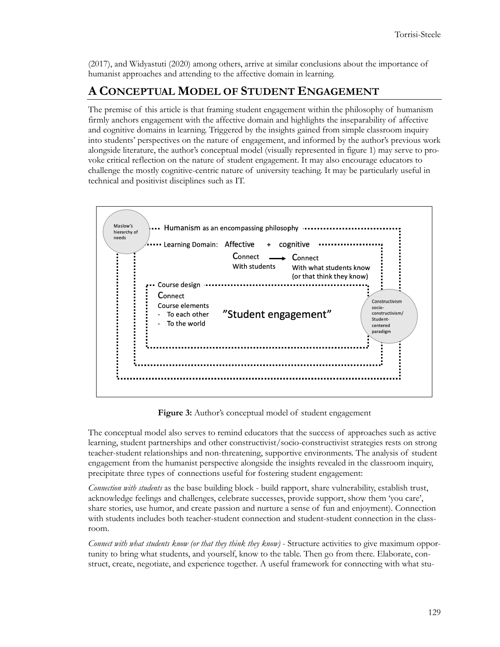(2017), and Widyastuti (2020) among others, arrive at similar conclusions about the importance of humanist approaches and attending to the affective domain in learning.

### **A CONCEPTUAL MODEL OF STUDENT ENGAGEMENT**

The premise of this article is that framing student engagement within the philosophy of humanism firmly anchors engagement with the affective domain and highlights the inseparability of affective and cognitive domains in learning. Triggered by the insights gained from simple classroom inquiry into students' perspectives on the nature of engagement, and informed by the author's previous work alongside literature, the author's conceptual model (visually represented in figure 1) may serve to provoke critical reflection on the nature of student engagement. It may also encourage educators to challenge the mostly cognitive-centric nature of university teaching. It may be particularly useful in technical and positivist disciplines such as IT.



**Figure 3:** Author's conceptual model of student engagement

The conceptual model also serves to remind educators that the success of approaches such as active learning, student partnerships and other constructivist/socio-constructivist strategies rests on strong teacher-student relationships and non-threatening, supportive environments. The analysis of student engagement from the humanist perspective alongside the insights revealed in the classroom inquiry, precipitate three types of connections useful for fostering student engagement:

*Connection with students* as the base building block - build rapport, share vulnerability, establish trust, acknowledge feelings and challenges, celebrate successes, provide support, show them 'you care', share stories, use humor, and create passion and nurture a sense of fun and enjoyment). Connection with students includes both teacher-student connection and student-student connection in the classroom.

*Connect with what students know (or that they think they know)* - Structure activities to give maximum opportunity to bring what students, and yourself, know to the table. Then go from there. Elaborate, construct, create, negotiate, and experience together. A useful framework for connecting with what stu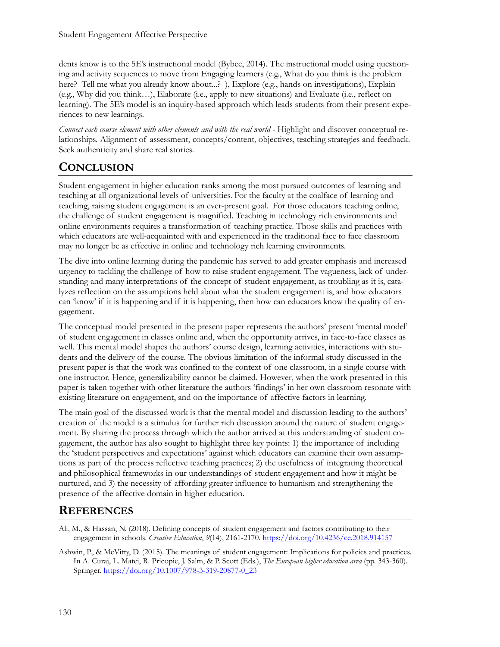dents know is to the 5E's instructional model (Bybee, 2014). The instructional model using questioning and activity sequences to move from Engaging learners (e.g., What do you think is the problem here? Tell me what you already know about...? ), Explore (e.g., hands on investigations), Explain (e.g., Why did you think…), Elaborate (i.e., apply to new situations) and Evaluate (i.e., reflect on learning). The 5E's model is an inquiry-based approach which leads students from their present experiences to new learnings.

*Connect each course element with other elements and with the real world* - Highlight and discover conceptual relationships. Alignment of assessment, concepts/content, objectives, teaching strategies and feedback. Seek authenticity and share real stories.

## **CONCLUSION**

Student engagement in higher education ranks among the most pursued outcomes of learning and teaching at all organizational levels of universities. For the faculty at the coalface of learning and teaching, raising student engagement is an ever-present goal. For those educators teaching online, the challenge of student engagement is magnified. Teaching in technology rich environments and online environments requires a transformation of teaching practice. Those skills and practices with which educators are well-acquainted with and experienced in the traditional face to face classroom may no longer be as effective in online and technology rich learning environments.

The dive into online learning during the pandemic has served to add greater emphasis and increased urgency to tackling the challenge of how to raise student engagement. The vagueness, lack of understanding and many interpretations of the concept of student engagement, as troubling as it is, catalyzes reflection on the assumptions held about what the student engagement is, and how educators can 'know' if it is happening and if it is happening, then how can educators know the quality of engagement.

The conceptual model presented in the present paper represents the authors' present 'mental model' of student engagement in classes online and, when the opportunity arrives, in face-to-face classes as well. This mental model shapes the authors' course design, learning activities, interactions with students and the delivery of the course. The obvious limitation of the informal study discussed in the present paper is that the work was confined to the context of one classroom, in a single course with one instructor. Hence, generalizability cannot be claimed. However, when the work presented in this paper is taken together with other literature the authors 'findings' in her own classroom resonate with existing literature on engagement, and on the importance of affective factors in learning.

The main goal of the discussed work is that the mental model and discussion leading to the authors' creation of the model is a stimulus for further rich discussion around the nature of student engagement. By sharing the process through which the author arrived at this understanding of student engagement, the author has also sought to highlight three key points: 1) the importance of including the 'student perspectives and expectations' against which educators can examine their own assumptions as part of the process reflective teaching practices; 2) the usefulness of integrating theoretical and philosophical frameworks in our understandings of student engagement and how it might be nurtured, and 3) the necessity of affording greater influence to humanism and strengthening the presence of the affective domain in higher education.

### **REFERENCES**

Ali, M., & Hassan, N. (2018). Defining concepts of student engagement and factors contributing to their engagement in schools. *Creative Education*, *9*(14), 2161-2170. <https://doi.org/10.4236/ce.2018.914157>

Ashwin, P., & McVitty, D. (2015). The meanings of student engagement: Implications for policies and practices. In A. Curaj, L. Matei, R. Pricopie, J. Salm, & P. Scott (Eds.), *The European higher education area* (pp. 343-360). Springer. [https://doi.org/10.1007/978](https://doi.org/10.1007/978-3-319-20877-0_23)-3-319-20877-0\_23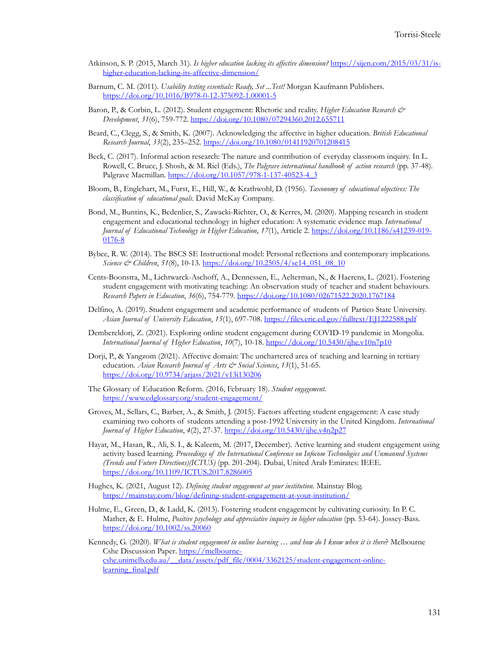- Atkinson, S. P. (2015, March 31). *Is higher education lacking its affective dimension?* [https://sijen.com/2015/03/31/is](https://sijen.com/2015/03/31/is-higher-education-lacking-its-affective-dimension/)higher-education-lacking-its-affective-[dimension/](https://sijen.com/2015/03/31/is-higher-education-lacking-its-affective-dimension/)
- Barnum, C. M. (2011). *Usability testing essentials: Ready, Set ...Test!* Morgan Kaufmann Publishers. [https://doi.org/10.1016/B978](https://doi.org/10.1016/B978-0-12-375092-1.00001-5)-0-12-375092-1.00001-5
- Baron, P., & Corbin, L. (2012). Student engagement: Rhetoric and reality. *Higher Education Research & Development*, *31*(6), 759-772. <https://doi.org/10.1080/07294360.2012.655711>
- Beard, C., Clegg, S., & Smith, K. (2007). Acknowledging the affective in higher education. *British Educational Research Journal*, *33*(2), 235–252. <https://doi.org/10.1080/01411920701208415>
- Beck, C. (2017). Informal action research: The nature and contribution of everyday classroom inquiry. In L. Rowell, C. Bruce, J. Shosh, & M. Riel (Eds.), *The Palgrave international handbook of action research* (pp. 37-48). Palgrave Macmillan. [https://doi.org/10.1057/978](https://doi.org/10.1057/978-1-137-40523-4_3)-1-137-40523-4\_3
- Bloom, B., Englehart, M., Furst, E., Hill, W., & Krathwohl, D. (1956). *Taxonomy of educational objectives: The classification of educational goals*. David McKay Company.
- Bond, M., Buntins, K., Bedenlier, S., Zawacki-Richter, O., & Kerres, M. (2020). Mapping research in student engagement and educational technology in higher education: A systematic evidence map. *International Journal of Educational Technology in Higher Education*, *17*(1), Article 2. [https://doi.org/10.1186/s41239](https://doi.org/10.1186/s41239-019-0176-8)-019- [0176](https://doi.org/10.1186/s41239-019-0176-8)-8
- Bybee, R. W. (2014). The BSCS SE Instructional model: Personal reflections and contemporary implications. *Science & Children*, *51*(8), 10-13. [https://doi.org/10.2505/4/sc14\\_051\\_08\\_10](https://doi.org/10.2505/4/sc14_051_08_10)
- Cents-Boonstra, M., Lichtwarck-Aschoff, A., Dennessen, E., Aelterman, N., & Haerens, L. (2021). Fostering student engagement with motivating teaching: An observation study of teacher and student behaviours. *Research Papers in Education*, *36*(6), 754-779. <https://doi.org/10.1080/02671522.2020.1767184>
- Delfino, A. (2019). Student engagement and academic performance of students of Partico State University. *Asian Journal of University Education*, *15*(1), 697-708. <https://files.eric.ed.gov/fulltext/EJ1222588.pdf>
- Dembereldorj, Z. (2021). Exploring online student engagement during COVID-19 pandemic in Mongolia. *International Journal of Higher Education*, *10*(7), 10-18. <https://doi.org/10.5430/ijhe.v10n7p10>
- Dorji, P., & Yangzom (2021). Affective domain: The unchartered area of teaching and learning in tertiary education. *Asian Research Journal of Arts & Social Sciences*, *13*(1), 51-65. <https://doi.org/10.9734/arjass/2021/v13i130206>
- The Glossary of Education Reform. (2016, February 18). *Student engagement.* [https://www.edglossary.org/student](https://www.edglossary.org/student-engagement/)-engagement/
- Groves, M., Sellars, C., Barber, A., & Smith, J. (2015). Factors affecting student engagement: A case study examining two cohorts of students attending a post-1992 University in the United Kingdom. *International Journal of Higher Education*, *4*(2), 27-37. <https://doi.org/10.5430/ijhe.v4n2p27>
- Hayat, M., Hasan, R., Ali, S. I., & Kaleem, M. (2017, December). Active learning and student engagement using activity based learning. *Proceedings of the International Conference on Infocom Technologies and Unmanned Systems (Trends and Future Directions)(ICTUS)* (pp. 201-204). Dubai, United Arab Emirates: IEEE. <https://doi.org/10.1109/ICTUS.2017.8286005>
- Hughes, K. (2021, August 12). *Defining student engagement at your institution*. Mainstay Blog. [https://mainstay.com/blog/defining](https://mainstay.com/blog/defining-student-engagement-at-your-institution/)-student-engagement-at-your-institution/
- Hulme, E., Green, D., & Ladd, K. (2013). Fostering student engagement by cultivating curiosity. In P. C. Mather, & E. Hulme, *Positive psychology and appreciative inquiry in higher education* (pp. 53-64). Jossey-Bass. <https://doi.org/10.1002/ss.20060>
- Kennedy, G. (2020). *What is student engagement in online learning … and how do I know when it is there*? Melbourne Cshe Discussion Paper. [https://melbourne](https://melbourne-cshe.unimelb.edu.au/__data/assets/pdf_file/0004/3362125/student-engagement-online-learning_final.pdf)[cshe.unimelb.edu.au/\\_\\_data/assets/pdf\\_file/0004/3362125/student](https://melbourne-cshe.unimelb.edu.au/__data/assets/pdf_file/0004/3362125/student-engagement-online-learning_final.pdf)-engagement-onlinelearning final.pdf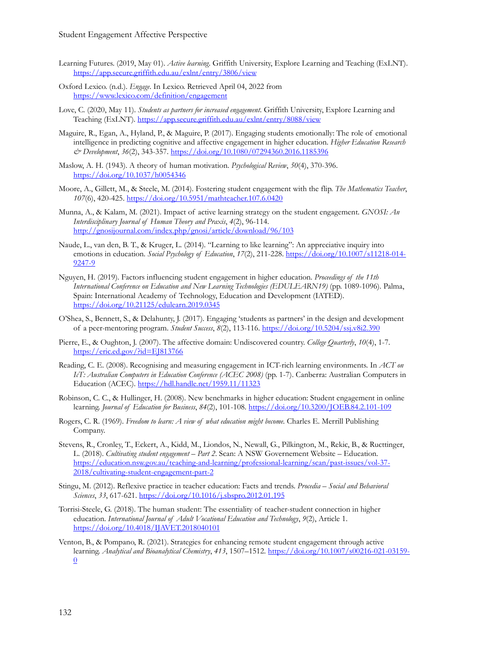- Learning Futures. (2019, May 01). *Active learning*. Griffith University, Explore Learning and Teaching (ExLNT). <https://app.secure.griffith.edu.au/exlnt/entry/3806/view>
- Oxford Lexico. (n.d.). *Engage*. In Lexico. Retrieved April 04, 2022 from <https://www.lexico.com/definition/engagement>
- Love, C. (2020, May 11). *Students as partners for increased engagement*. Griffith University, Explore Learning and Teaching (ExLNT). <https://app.secure.griffith.edu.au/exlnt/entry/8088/view>
- Maguire, R., Egan, A., Hyland, P., & Maguire, P. (2017). Engaging students emotionally: The role of emotional intelligence in predicting cognitive and affective engagement in higher education. *Higher Education Research & Development*, *36*(2), 343-357. <https://doi.org/10.1080/07294360.2016.1185396>
- Maslow, A. H. (1943). A theory of human motivation. *Psychological Review*, *50*(4), 370-396. <https://doi.org/10.1037/h0054346>
- Moore, A., Gillett, M., & Steele, M. (2014). Fostering student engagement with the flip. *The Mathematics Teacher*, *107*(6), 420-425. <https://doi.org/10.5951/mathteacher.107.6.0420>
- Munna, A., & Kalam, M. (2021). Impact of active learning strategy on the student engagement. *GNOSI: An Interdisciplinary Journal of Human Theory and Praxis*, *4*(2), 96-114. <http://gnosijournal.com/index.php/gnosi/article/download/96/103>
- Naude, L., van den, B. T., & Kruger, L. (2014). "Learning to like learning": An appreciative inquiry into emotions in education. *Social Psychology of Education*, *17*(2), 211-228. [https://doi.org/10.1007/s11218](https://doi.org/10.1007/s11218-014-9247-9)-014- [9247](https://doi.org/10.1007/s11218-014-9247-9)-9
- Nguyen, H. (2019). Factors influencing student engagement in higher education. *Proceedings of the 11th International Conference on Education and New Learning Technologies (EDULEARN19)* (pp. 1089-1096). Palma, Spain: International Academy of Technology, Education and Development (IATED). <https://doi.org/10.21125/edulearn.2019.0345>
- O'Shea, S., Bennett, S., & Delahunty, J. (2017). Engaging 'students as partners' in the design and development of a peer-mentoring program. *Student Success*, *8*(2), 113-116. <https://doi.org/10.5204/ssj.v8i2.390>
- Pierre, E., & Oughton, J. (2007). The affective domain: Undiscovered country. *College Quarterly*, *10*(4), 1-7. <https://eric.ed.gov/?id=EJ813766>
- Reading, C. E. (2008). Recognising and measuring engagement in ICT-rich learning environments. In *ACT on IcT: Australian Computers in Education Conference (ACEC 2008)* (pp. 1-7). Canberra: Australian Computers in Education (ACEC). <https://hdl.handle.net/1959.11/11323>
- Robinson, C. C., & Hullinger, H. (2008). New benchmarks in higher education: Student engagement in online learning. *Journal of Education for Business*, *84*(2), 101-108. [https://doi.org/10.3200/JOEB.84.2.101](https://doi.org/10.3200/JOEB.84.2.101-109)-109
- Rogers, C. R. (1969). *Freedom to learn: A view of what education might become.* Charles E. Merrill Publishing Company.
- Stevens, R., Cronley, T., Eckert, A., Kidd, M., Liondos, N., Newall, G., Pilkington, M., Rekic, B., & Ructtinger, L. (2018). *Cultivating student engagement – Part 2*. Scan: A NSW Governement Website – Education. [https://education.nsw.gov.au/teaching](https://education.nsw.gov.au/teaching-and-learning/professional-learning/scan/past-issues/vol-37-2018/cultivating-student-engagement-part-2)-and-learning/professional-learning/scan/past-issues/vol-37- [2018/cultivating](https://education.nsw.gov.au/teaching-and-learning/professional-learning/scan/past-issues/vol-37-2018/cultivating-student-engagement-part-2)-student-engagement-part-2
- Stingu, M. (2012). Reflexive practice in teacher education: Facts and trends. *Procedia – Social and Behavioral Sciences*, *33*, 617-621. <https://doi.org/10.1016/j.sbspro.2012.01.195>
- Torrisi-Steele, G. (2018). The human student: The essentiality of teacher-student connection in higher education. *International Journal of Adult Vocational Education and Technology*, *9*(2), Article 1. <https://doi.org/10.4018/IJAVET.2018040101>
- Venton, B., & Pompano, R. (2021). Strategies for enhancing remote student engagement through active learning. *Analytical and Bioanalytical Chemistry*, *413*, 1507–1512. [https://doi.org/10.1007/s00216](https://doi.org/10.1007/s00216-021-03159-0)-021-03159- [0](https://doi.org/10.1007/s00216-021-03159-0)